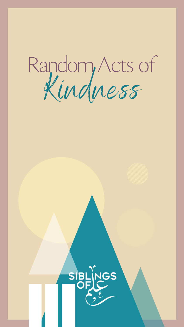

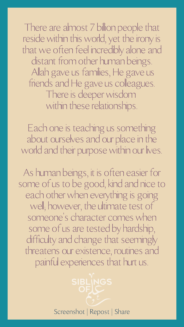There are almost 7 billion people that reside within this world, yet the irony is thatwe often feel incredibly alone and distant from other human beings. Allah gave us families, He gave us friends and He gave us colleagues. There is deeperwisdom within these relationships.

Each one is teaching us something about ourselves and our place in the world and their purpose within our lives.

As human beings, it is often easier for some of us to be good, kind and nice to each other when everything is going well; however, the ultimate test of someone 's character comes when some of us are tested by hardship, difficulty and change that seemingly threatens our existence, routines and painful experiences that hurt us.

Screenshot | Repost | Share

SIBLINGS

OFIC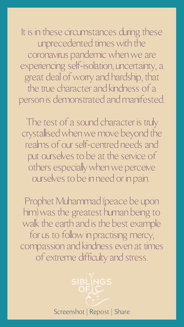It is in these circumstances during these unprecedented times with the coronavirus pandemic when we are experiencing self-isolation, uncertainty, a great deal ofworry and hardship, that the true character and kindness of a person is demonstrated and manifested.

The test of a sound character is truly crystallisedwhenwe move beyond the realms of our self-centred needs and put ourselves to be at the service of others especiallywhenwe perceive ourselves to be in need or in pain.

Prophet Muhammad (peace be upon

him)was the greatest human being to walk the earth and is the best example for us to follow in practising mercy, compassion and kindness even at times of extreme difficulty and stress.

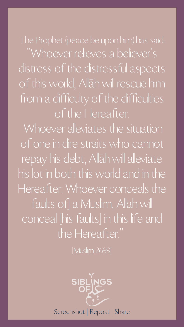The Prophet (peace be upon him) has said: "Whoever relieves a believer 's distress of the distressful aspects of this world, Allāh will rescue him from a difficulty of the difficulties ofthe Hereafter. Whoever alleviates the situation of one in dire straitswho cannot repay his debt, Allāhwill alleviate his lot in both thisworld and in the Hereafter. Whoever conceals the faults of] a Muslim, Allāh will conceal [his faults] in this life and the Hereafter."

[Muslim 2699]

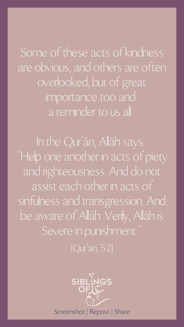Some of these acts of kindness are obvious, and others are often overlooked, but of great importance too and a reminder to us all.

In the Qur 'ān, Allāh says: "Help one another in acts of piety and righteousness. And do not assist each other in acts of sinfulness and transgression. And be aware of Allāh. Verily, Allāh is Severe in punishment." [Qur ' an, 5:2]

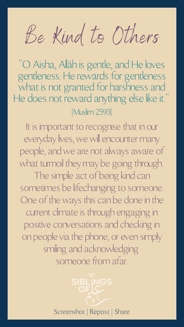"O Aisha, Allāh is gentle, and He loves gentleness. He rewards for gentleness what is not granted for harshness and He does not reward anything else like it." [Muslim 2593]

> SIBLINGS OFIC Screenshot | Repost | Share

Be Kind to Others

It is important to recognise that in our everyday lives, we will encounter many people, and we are not always aware of what turmoil they may be going through. The simple act of being kind can sometimes be lifechanging to someone. One of the ways this can be done in the current climate is through engaging in positive conversations and checking in on people via the phone, or even simply smiling and acknowledging someone from afar.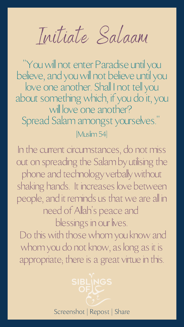"Youwill not enter Paradise until you believe, and youwill not believe until you love one another. Shall I not tell you about somethingwhich, if you do it, you will love one another? Spread Salam amongst yourselves." [Muslim 54]

> SIBLINGS Screenshot | Repost | Share

Initiate Salaam

In the current circumstances, do not miss out on spreading the Salam by utilising the phone and technology verballywithout shaking hands. It increases love between people, and it reminds us that we are all in need of Allah' s peace and blessings in our lives. Do this with those whom you know and whom you do not know, as long as it is appropriate; there is a great virtue in this.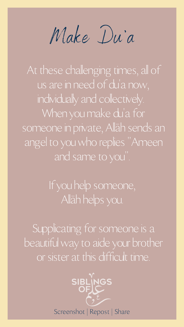

At these challenging times, all of us are in need of du 'a now, individually and collectively. When you make du 'a for someone in private, Allāh sends an angel to youwho replies "Ameen and same to you".

Make Du 'a

If you help someone, Allāh helps you.

Supplicating for someone is a beautifulway to aide your brother or sister at this difficult time.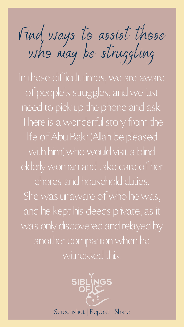and he kept his deeds private, as it was only discovered and relayed by another companion when he witnessed this.



Find ways to assist those who may be struggling

In these difficult times, we are aware of people 's struggles, andwe just need to pick up the phone and ask. There is awonderful story from the life of Abu Bakr (Allah be pleased with him) who would visit a blind elderlywoman and take care of her chores and household duties. She was unaware of who he was,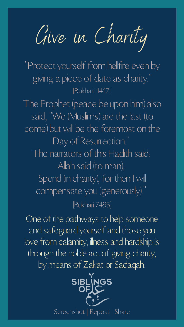The Prophet (peace be upon him) also said, "We (Muslims) are the last (to come) but will be the foremost on the Day of Resurrection.' The narrators of this Hadith said: Allāh said (to man), Spend (in charity), for then I will compensate you (generously)."

One of the pathways to help someone and safeguard yourself and those you love from calamity, illness and hardship is through the noble act of giving charity, by means of Zakat or Sadaqah.

"Protect yourself from hellfire even by giving a piece of date as charity." [Bukhari 1417]

## [Bukhari 7495]



Give in Charity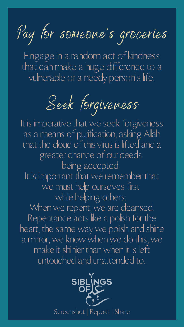Engage in a random act of kindness that can make a huge difference to a vulnerable or a needy person 's life.

Pay tor someone 's groceries



Seek forgiveness

It is imperative that we seek forgiveness as a means of purification, asking Allāh that the cloud of this virus is lifted and a greater chance of our deeds being accepted. It is important that we remember that we must help ourselves first while helping others.

When we repent, we are cleansed. Repentance acts like a polish for the heart, the same way we polish and shine a mirror, we know when we do this, we make it shinier thanwhen it is left untouched and unattended to.